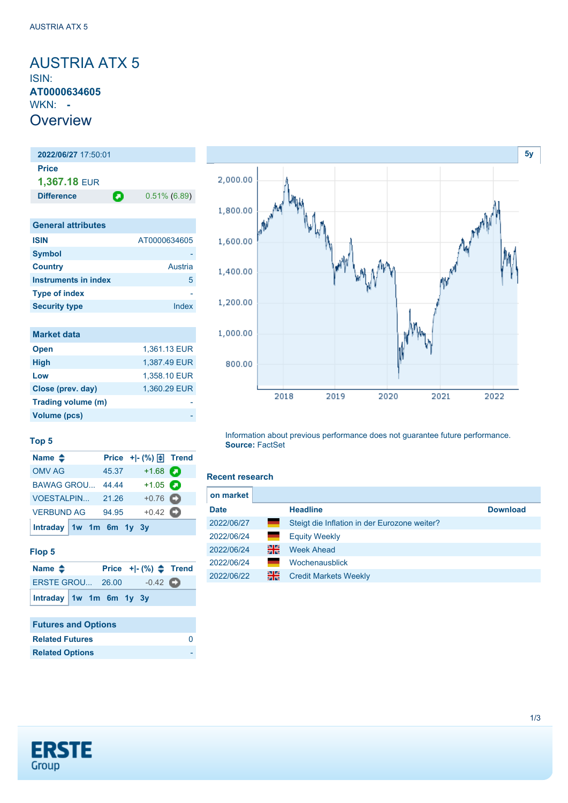## <span id="page-0-0"></span>AUSTRIA ATX 5 ISIN: **AT0000634605** WKN: **- Overview**

## **2022/06/27** 17:50:01 **Price 1,367.18** EUR **Difference 0.51% (6.89)**

| <b>General attributes</b>   |              |
|-----------------------------|--------------|
| <b>ISIN</b>                 | AT0000634605 |
| <b>Symbol</b>               |              |
| <b>Country</b>              | Austria      |
| <b>Instruments in index</b> | 5            |
| <b>Type of index</b>        |              |
| <b>Security type</b>        | Index        |

| <b>Market data</b> |              |
|--------------------|--------------|
| <b>Open</b>        | 1,361.13 EUR |
| <b>High</b>        | 1,387.49 EUR |
| Low                | 1,358.10 EUR |
| Close (prev. day)  | 1,360.29 EUR |
| Trading volume (m) |              |
| Volume (pcs)       |              |



### **Top 5**

| Name $\triangleq$       |  |       | Price $+$ $\mid$ $\cdot$ $\mid \cdot \mid$ Trend |  |
|-------------------------|--|-------|--------------------------------------------------|--|
| <b>OMV AG</b>           |  | 45.37 | $+1.68$ $\Box$                                   |  |
| <b>BAWAG GROU</b>       |  | 44.44 | $+1.05$ $\Box$                                   |  |
| <b>VOESTALPIN</b>       |  | 21.26 | $+0.76$ $\bullet$                                |  |
| <b>VERBUND AG</b>       |  | 94.95 | $+0.42$ $\bullet$                                |  |
| Intraday 1w 1m 6m 1y 3y |  |       |                                                  |  |

### **Flop 5**

| Name $\triangle$        |  |  | Price $+[-(%) \triangleq$ Trend |  |
|-------------------------|--|--|---------------------------------|--|
| <b>ERSTE GROU 26.00</b> |  |  | $-0.42$ $\bullet$               |  |
| Intraday 1w 1m 6m 1y 3y |  |  |                                 |  |

### **Futures and Options Related Futures** [0](https://de.products.erstegroup.com/CorporateClients/en/Dispatcher/SearchDispatcher/Market/future/index.phtml?ID_INSTRUMENT_CLASS_FUTURE=71026908) **Related Options**

#### Information about previous performance does not guarantee future performance. **Source:** FactSet

### **Recent research**

| on market   |                     |                                              |                 |
|-------------|---------------------|----------------------------------------------|-----------------|
| <b>Date</b> |                     | <b>Headline</b>                              | <b>Download</b> |
| 2022/06/27  | <u>e and</u>        | Steigt die Inflation in der Eurozone weiter? |                 |
| 2022/06/24  | <u>e anno 1989.</u> | <b>Equity Weekly</b>                         |                 |
| 2022/06/24  | 꾉                   | <b>Week Ahead</b>                            |                 |
| 2022/06/24  |                     | Wochenausblick                               |                 |
| 2022/06/22  | 을중                  | <b>Credit Markets Weekly</b>                 |                 |

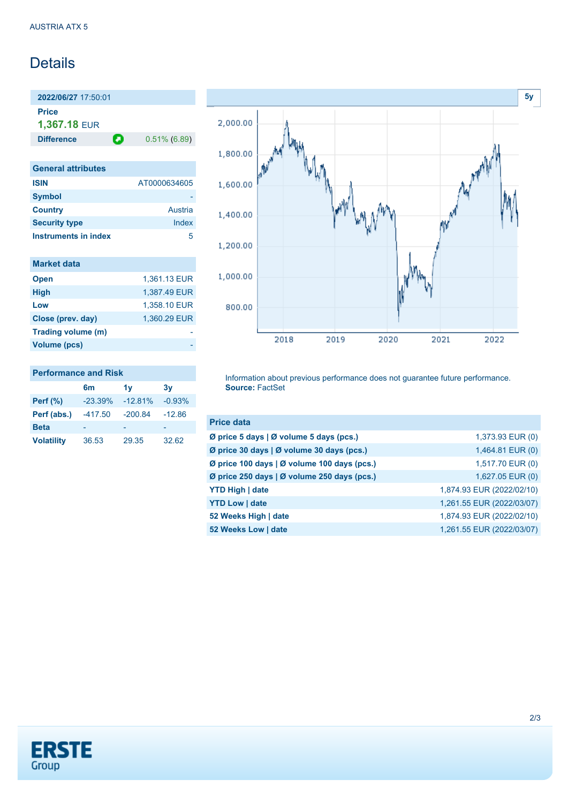# **Details**

**2022/06/27** 17:50:01 **Price 1,367.18** EUR

**Difference 0.51% (6.89)** 

| <b>General attributes</b> |              |
|---------------------------|--------------|
| <b>ISIN</b>               | AT0000634605 |
| <b>Symbol</b>             |              |
| <b>Country</b>            | Austria      |
| <b>Security type</b>      | Index        |
| Instruments in index      | 5            |

| <b>Market data</b> |              |
|--------------------|--------------|
| <b>Open</b>        | 1,361.13 EUR |
| <b>High</b>        | 1,387.49 EUR |
| Low                | 1,358.10 EUR |
| Close (prev. day)  | 1,360.29 EUR |
| Trading volume (m) |              |
| Volume (pcs)       |              |



# **Performance and Risk 6m 1y 3y Perf (%)** -23.39% -12.81% -0.93%

**Perf (abs.)** -417.50 -200.84 -12.86 **Beta** - - - - - - - -**Volatility** 36.53 29.35 32.62

Information about previous performance does not guarantee future performance. **Source:** FactSet

| <b>Price data</b>                                           |                           |
|-------------------------------------------------------------|---------------------------|
| $\emptyset$ price 5 days   $\emptyset$ volume 5 days (pcs.) | 1,373.93 EUR (0)          |
| Ø price 30 days   Ø volume 30 days (pcs.)                   | 1,464.81 EUR (0)          |
| Ø price 100 days   Ø volume 100 days (pcs.)                 | 1,517.70 EUR (0)          |
| Ø price 250 days   Ø volume 250 days (pcs.)                 | 1,627.05 EUR (0)          |
| <b>YTD High   date</b>                                      | 1,874.93 EUR (2022/02/10) |
| <b>YTD Low   date</b>                                       | 1,261.55 EUR (2022/03/07) |
| 52 Weeks High   date                                        | 1,874.93 EUR (2022/02/10) |
| 52 Weeks Low   date                                         | 1,261.55 EUR (2022/03/07) |